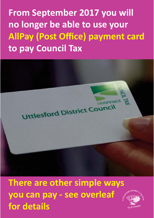**From September 2017 you will no longer be able to use your AllPay (Post Office) payment card to pay Council Tax** 



**There are other simple ways you can pay - see overleaf for details**